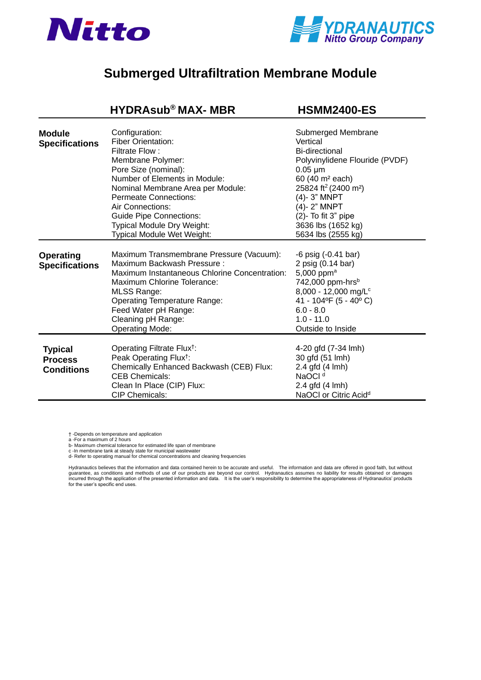



## **[Submerged Ultrafiltration](https://www.pureaqua.com/hydrasub-max-hsmm2400-es-membrane/) Membrane Module**

|                                                       | <b>HYDRAsub®MAX-MBR</b>                                                                                                                                                                                                                                                                                                                   | <b>HSMM2400-ES</b>                                                                                                                                                                                                                                                                    |
|-------------------------------------------------------|-------------------------------------------------------------------------------------------------------------------------------------------------------------------------------------------------------------------------------------------------------------------------------------------------------------------------------------------|---------------------------------------------------------------------------------------------------------------------------------------------------------------------------------------------------------------------------------------------------------------------------------------|
| <b>Module</b><br><b>Specifications</b>                | Configuration:<br><b>Fiber Orientation:</b><br>Filtrate Flow:<br>Membrane Polymer:<br>Pore Size (nominal):<br>Number of Elements in Module:<br>Nominal Membrane Area per Module:<br><b>Permeate Connections:</b><br>Air Connections:<br><b>Guide Pipe Connections:</b><br><b>Typical Module Dry Weight:</b><br>Typical Module Wet Weight: | Submerged Membrane<br>Vertical<br>Bi-directional<br>Polyvinylidene Flouride (PVDF)<br>$0.05 \mu m$<br>60 (40 m <sup>2</sup> each)<br>25824 ft <sup>2</sup> (2400 m <sup>2</sup> )<br>(4)-3" MNPT<br>(4)-2" MNPT<br>$(2)$ - To fit 3" pipe<br>3636 lbs (1652 kg)<br>5634 lbs (2555 kg) |
| <b>Operating</b><br><b>Specifications</b>             | Maximum Transmembrane Pressure (Vacuum):<br>Maximum Backwash Pressure:<br>Maximum Instantaneous Chlorine Concentration:<br>Maximum Chlorine Tolerance:<br><b>MLSS Range:</b><br><b>Operating Temperature Range:</b><br>Feed Water pH Range:<br>Cleaning pH Range:<br><b>Operating Mode:</b>                                               | $-6$ psig $(-0.41$ bar)<br>2 psig (0.14 bar)<br>5,000 ppm <sup>a</sup><br>742,000 ppm-hrs <sup>b</sup><br>8,000 - 12,000 mg/L <sup>c</sup><br>41 - 104°F (5 - 40°C)<br>$6.0 - 8.0$<br>$1.0 - 11.0$<br>Outside to Inside                                                               |
| <b>Typical</b><br><b>Process</b><br><b>Conditions</b> | Operating Filtrate Flux <sup>†</sup> :<br>Peak Operating Flux <sup>†</sup> :<br>Chemically Enhanced Backwash (CEB) Flux:<br><b>CEB Chemicals:</b><br>Clean In Place (CIP) Flux:<br><b>CIP Chemicals:</b>                                                                                                                                  | 4-20 gfd (7-34 lmh)<br>30 gfd (51 lmh)<br>2.4 gfd (4 lmh)<br>NaOCI <sup>d</sup><br>2.4 gfd (4 lmh)<br>NaOCI or Citric Acid <sup>d</sup>                                                                                                                                               |

† -Depends on temperature and application<br>a -For a maximum of 2 hours<br>b- Maximum chemical tolerance for estimated life span of membrane<br>c -In membrane tank at steady state for municipal wastewater

d- Refer to operating manual for chemical concentrations and cleaning frequencies

Hydranautics believes that the information and data contained herein to be accurate and useful. The information and data are offered in good faith, but without<br>guarantee, as conditions and methods of use of our products for the user's specific end uses.